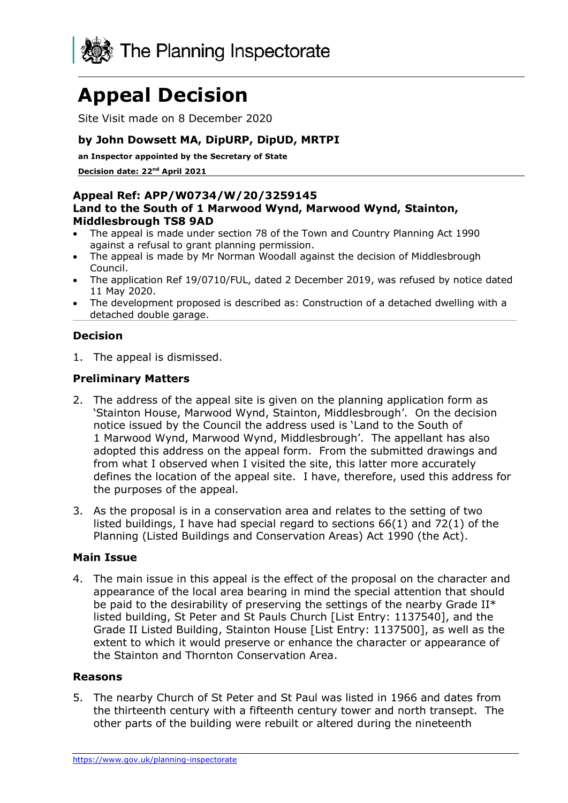

# **Appeal Decision**

Site Visit made on 8 December 2020

# **by John Dowsett MA, DipURP, DipUD, MRTPI**

**an Inspector appointed by the Secretary of State** 

**Decision date: 22nd April 2021**

#### **Appeal Ref: APP/W0734/W/20/3259145 Land to the South of 1 Marwood Wynd, Marwood Wynd, Stainton, Middlesbrough TS8 9AD**

- The appeal is made under section 78 of the Town and Country Planning Act 1990 against a refusal to grant planning permission.
- The appeal is made by Mr Norman Woodall against the decision of Middlesbrough Council.
- The application Ref 19/0710/FUL, dated 2 December 2019, was refused by notice dated 11 May 2020.
- The development proposed is described as: Construction of a detached dwelling with a detached double garage.

# **Decision**

1. The appeal is dismissed.

# **Preliminary Matters**

- 2. The address of the appeal site is given on the planning application form as 'Stainton House, Marwood Wynd, Stainton, Middlesbrough'. On the decision notice issued by the Council the address used is 'Land to the South of 1 Marwood Wynd, Marwood Wynd, Middlesbrough'. The appellant has also adopted this address on the appeal form. From the submitted drawings and from what I observed when I visited the site, this latter more accurately defines the location of the appeal site. I have, therefore, used this address for the purposes of the appeal.
- 3. As the proposal is in a conservation area and relates to the setting of two listed buildings, I have had special regard to sections 66(1) and 72(1) of the Planning (Listed Buildings and Conservation Areas) Act 1990 (the Act).

#### **Main Issue**

4. The main issue in this appeal is the effect of the proposal on the character and appearance of the local area bearing in mind the special attention that should be paid to the desirability of preserving the settings of the nearby Grade II\* listed building, St Peter and St Pauls Church [List Entry: 1137540], and the Grade II Listed Building, Stainton House [List Entry: 1137500], as well as the extent to which it would preserve or enhance the character or appearance of the Stainton and Thornton Conservation Area.

#### **Reasons**

5. The nearby Church of St Peter and St Paul was listed in 1966 and dates from the thirteenth century with a fifteenth century tower and north transept. The other parts of the building were rebuilt or altered during the nineteenth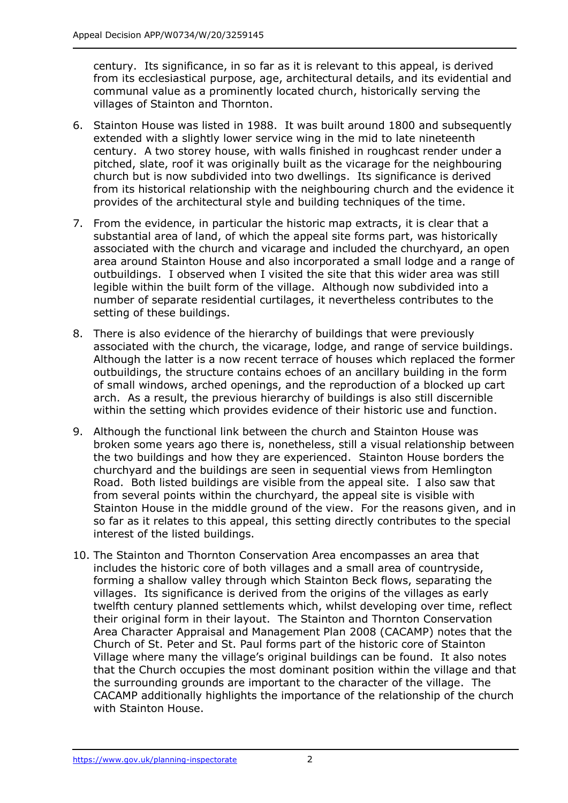century. Its significance, in so far as it is relevant to this appeal, is derived from its ecclesiastical purpose, age, architectural details, and its evidential and communal value as a prominently located church, historically serving the villages of Stainton and Thornton.

- 6. Stainton House was listed in 1988. It was built around 1800 and subsequently extended with a slightly lower service wing in the mid to late nineteenth century. A two storey house, with walls finished in roughcast render under a pitched, slate, roof it was originally built as the vicarage for the neighbouring church but is now subdivided into two dwellings. Its significance is derived from its historical relationship with the neighbouring church and the evidence it provides of the architectural style and building techniques of the time.
- 7. From the evidence, in particular the historic map extracts, it is clear that a substantial area of land, of which the appeal site forms part, was historically associated with the church and vicarage and included the churchyard, an open area around Stainton House and also incorporated a small lodge and a range of outbuildings. I observed when I visited the site that this wider area was still legible within the built form of the village. Although now subdivided into a number of separate residential curtilages, it nevertheless contributes to the setting of these buildings.
- 8. There is also evidence of the hierarchy of buildings that were previously associated with the church, the vicarage, lodge, and range of service buildings. Although the latter is a now recent terrace of houses which replaced the former outbuildings, the structure contains echoes of an ancillary building in the form of small windows, arched openings, and the reproduction of a blocked up cart arch. As a result, the previous hierarchy of buildings is also still discernible within the setting which provides evidence of their historic use and function.
- 9. Although the functional link between the church and Stainton House was broken some years ago there is, nonetheless, still a visual relationship between the two buildings and how they are experienced. Stainton House borders the churchyard and the buildings are seen in sequential views from Hemlington Road. Both listed buildings are visible from the appeal site. I also saw that from several points within the churchyard, the appeal site is visible with Stainton House in the middle ground of the view. For the reasons given, and in so far as it relates to this appeal, this setting directly contributes to the special interest of the listed buildings.
- 10. The Stainton and Thornton Conservation Area encompasses an area that includes the historic core of both villages and a small area of countryside, forming a shallow valley through which Stainton Beck flows, separating the villages. Its significance is derived from the origins of the villages as early twelfth century planned settlements which, whilst developing over time, reflect their original form in their layout. The Stainton and Thornton Conservation Area Character Appraisal and Management Plan 2008 (CACAMP) notes that the Church of St. Peter and St. Paul forms part of the historic core of Stainton Village where many the village's original buildings can be found. It also notes that the Church occupies the most dominant position within the village and that the surrounding grounds are important to the character of the village. The CACAMP additionally highlights the importance of the relationship of the church with Stainton House.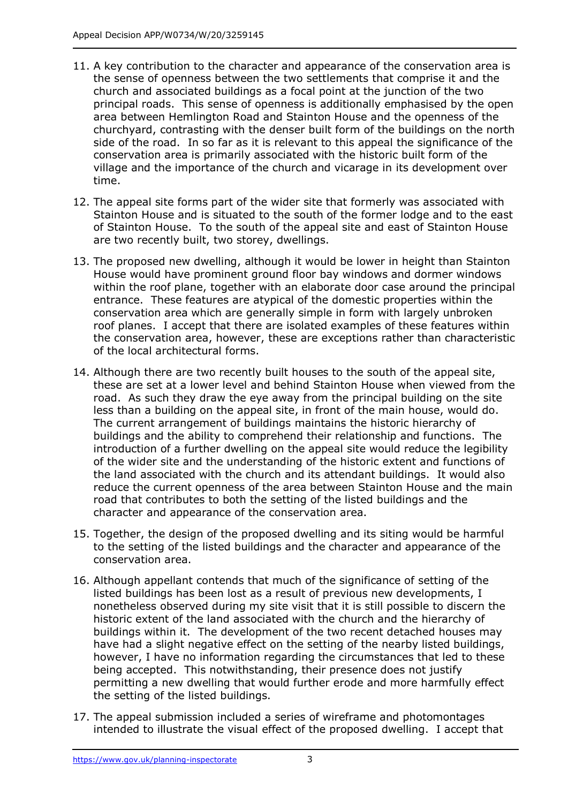- 11. A key contribution to the character and appearance of the conservation area is the sense of openness between the two settlements that comprise it and the church and associated buildings as a focal point at the junction of the two principal roads. This sense of openness is additionally emphasised by the open area between Hemlington Road and Stainton House and the openness of the churchyard, contrasting with the denser built form of the buildings on the north side of the road. In so far as it is relevant to this appeal the significance of the conservation area is primarily associated with the historic built form of the village and the importance of the church and vicarage in its development over time.
- 12. The appeal site forms part of the wider site that formerly was associated with Stainton House and is situated to the south of the former lodge and to the east of Stainton House. To the south of the appeal site and east of Stainton House are two recently built, two storey, dwellings.
- 13. The proposed new dwelling, although it would be lower in height than Stainton House would have prominent ground floor bay windows and dormer windows within the roof plane, together with an elaborate door case around the principal entrance. These features are atypical of the domestic properties within the conservation area which are generally simple in form with largely unbroken roof planes. I accept that there are isolated examples of these features within the conservation area, however, these are exceptions rather than characteristic of the local architectural forms.
- 14. Although there are two recently built houses to the south of the appeal site, these are set at a lower level and behind Stainton House when viewed from the road. As such they draw the eye away from the principal building on the site less than a building on the appeal site, in front of the main house, would do. The current arrangement of buildings maintains the historic hierarchy of buildings and the ability to comprehend their relationship and functions. The introduction of a further dwelling on the appeal site would reduce the legibility of the wider site and the understanding of the historic extent and functions of the land associated with the church and its attendant buildings. It would also reduce the current openness of the area between Stainton House and the main road that contributes to both the setting of the listed buildings and the character and appearance of the conservation area.
- 15. Together, the design of the proposed dwelling and its siting would be harmful to the setting of the listed buildings and the character and appearance of the conservation area.
- 16. Although appellant contends that much of the significance of setting of the listed buildings has been lost as a result of previous new developments, I nonetheless observed during my site visit that it is still possible to discern the historic extent of the land associated with the church and the hierarchy of buildings within it. The development of the two recent detached houses may have had a slight negative effect on the setting of the nearby listed buildings, however, I have no information regarding the circumstances that led to these being accepted. This notwithstanding, their presence does not justify permitting a new dwelling that would further erode and more harmfully effect the setting of the listed buildings.
- 17. The appeal submission included a series of wireframe and photomontages intended to illustrate the visual effect of the proposed dwelling. I accept that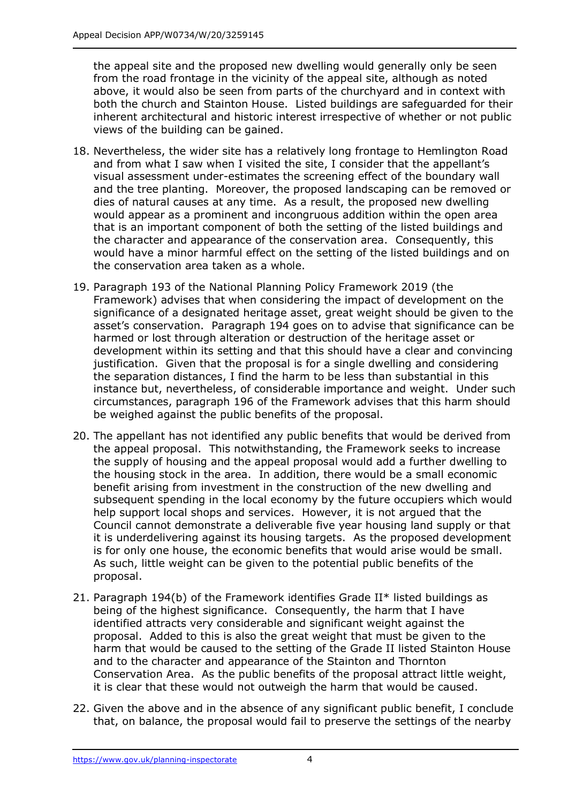the appeal site and the proposed new dwelling would generally only be seen from the road frontage in the vicinity of the appeal site, although as noted above, it would also be seen from parts of the churchyard and in context with both the church and Stainton House. Listed buildings are safeguarded for their inherent architectural and historic interest irrespective of whether or not public views of the building can be gained.

- 18. Nevertheless, the wider site has a relatively long frontage to Hemlington Road and from what I saw when I visited the site, I consider that the appellant's visual assessment under-estimates the screening effect of the boundary wall and the tree planting. Moreover, the proposed landscaping can be removed or dies of natural causes at any time. As a result, the proposed new dwelling would appear as a prominent and incongruous addition within the open area that is an important component of both the setting of the listed buildings and the character and appearance of the conservation area. Consequently, this would have a minor harmful effect on the setting of the listed buildings and on the conservation area taken as a whole.
- 19. Paragraph 193 of the National Planning Policy Framework 2019 (the Framework) advises that when considering the impact of development on the significance of a designated heritage asset, great weight should be given to the asset's conservation. Paragraph 194 goes on to advise that significance can be harmed or lost through alteration or destruction of the heritage asset or development within its setting and that this should have a clear and convincing justification. Given that the proposal is for a single dwelling and considering the separation distances, I find the harm to be less than substantial in this instance but, nevertheless, of considerable importance and weight. Under such circumstances, paragraph 196 of the Framework advises that this harm should be weighed against the public benefits of the proposal.
- 20. The appellant has not identified any public benefits that would be derived from the appeal proposal. This notwithstanding, the Framework seeks to increase the supply of housing and the appeal proposal would add a further dwelling to the housing stock in the area. In addition, there would be a small economic benefit arising from investment in the construction of the new dwelling and subsequent spending in the local economy by the future occupiers which would help support local shops and services. However, it is not argued that the Council cannot demonstrate a deliverable five year housing land supply or that it is underdelivering against its housing targets. As the proposed development is for only one house, the economic benefits that would arise would be small. As such, little weight can be given to the potential public benefits of the proposal.
- 21. Paragraph 194(b) of the Framework identifies Grade II\* listed buildings as being of the highest significance. Consequently, the harm that I have identified attracts very considerable and significant weight against the proposal. Added to this is also the great weight that must be given to the harm that would be caused to the setting of the Grade II listed Stainton House and to the character and appearance of the Stainton and Thornton Conservation Area. As the public benefits of the proposal attract little weight, it is clear that these would not outweigh the harm that would be caused.
- 22. Given the above and in the absence of any significant public benefit, I conclude that, on balance, the proposal would fail to preserve the settings of the nearby